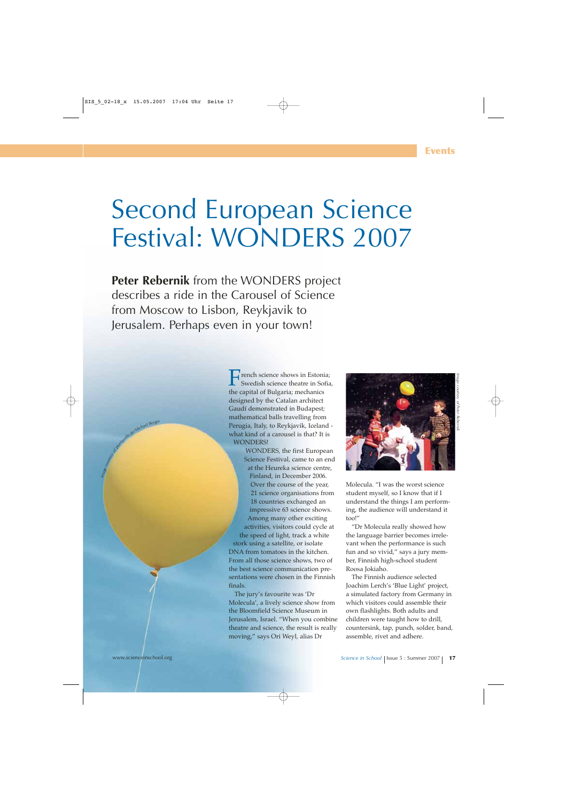## Second European Science Festival: WONDERS 2007

**Peter Rebernik** from the WONDERS project describes a ride in the Carousel of Science from Moscow to Lisbon, Reykjavik to Jerusalem. Perhaps even in your town!

> French science shows in Estonia; Swedish science theatre in Sofia, the capital of Bulgaria; mechanics designed by the Catalan architect Gaudí demonstrated in Budapest; mathematical balls travelling from Perugia, Italy, to Reykjavik, Iceland what kind of a carousel is that? It is WONDERS!

WONDERS, the first European Science Festival, came to an end at the Heureka science centre, Finland, in December 2006. Over the course of the year, 21 science organisations from 18 countries exchanged an impressive 63 science shows. Among many other exciting activities, visitors could cycle at the speed of light, track a white stork using a satellite, or isolate DNA from tomatoes in the kitchen. From all those science shows, two of the best science communication presentations were chosen in the Finnish finals.

The jury's favourite was 'Dr Molecula', a lively science show from the Bloomfield Science Museum in Jerusalem, Israel. "When you combine theatre and science, the result is really moving," says Ori Weyl, alias Dr



Molecula. "I was the worst science student myself, so I know that if I understand the things I am performing, the audience will understand it too!"

"Dr Molecula really showed how the language barrier becomes irrelevant when the performance is such fun and so vivid," says a jury member, Finnish high-school student Roosa Jokiaho.

The Finnish audience selected Joachim Lerch's 'Blue Light' project, a simulated factory from Germany in which visitors could assemble their own flashlights. Both adults and children were taught how to drill, countersink, tap, punch, solder, band, assemble, rivet and adhere.

delMichael Berg